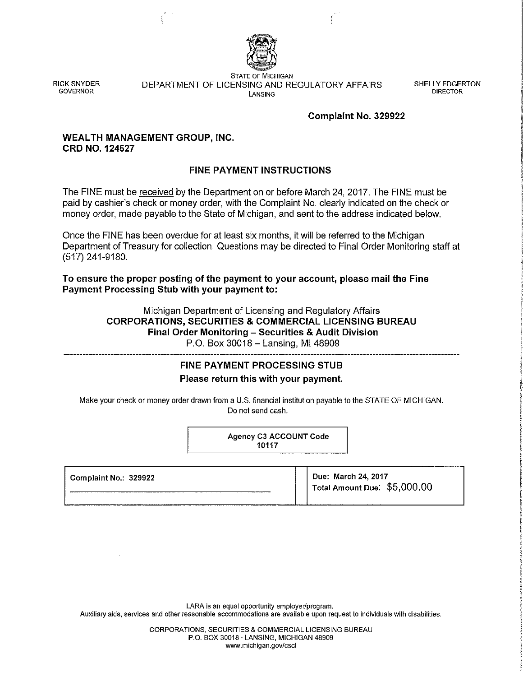

RICK SNYDER **GOVERNOR** 

**STATE OF MICHIGAN**  DEPARTMENT OF LICENSING AND REGULATORY AFFAIRS **lANSING** 

SHELLY EDGERTON DIRECTOR

#### **Complaint No. 329922**

#### **WEALTH MANAGEMENT GROUP, INC. CRD NO. 124527**

## **FINE PAYMENT INSTRUCTIONS**

The FINE must be received by the Department on or before March 24, 2017. The FINE must be paid by cashier's check or money order, with the Complaint No. clearly indicated on the check or money order, made payable to the State of Michigan, and sent to the address indicated below.

Once the FINE has been overdue for at least six months, it will be referred to the Michigan Department of Treasury for collection. Questions may be directed to Final Order Monitoring staff at (517) 241-9180.

**To ensure the proper posting of the payment to your account, please mail the Fine Payment Processing Stub with your payment to:** 

> Michigan Department of Licensing and Regulatory Affairs **CORPORATIONS, SECURITIES & COMMERCIAL LICENSING BUREAU Final Order Monitoring - Securities & Audit Division** P.O. Box 30018 - Lansing, MI 48909

# **FINE PAYMENT PROCESSING STUB**

**Please return this with your payment.** 

Make your check or money order drawn from a U.S. financial institution payable to the STATE OF MICHIGAN. Do not send cash.

> Agency C3 ACCOUNT Code 10117

| Complaint No.: 329922 | Due: March 24, 2017<br>$'$ Total Amount Due: $$5,000.00$ |
|-----------------------|----------------------------------------------------------|
|                       |                                                          |

**LARA is an equal opportunity employer/program.** 

**Auxiliary aids, services and other reasonable accommodations are available upon request to individuals with disabilities.** 

CORPORATIONS, SECURITIES & COMMERCIAL LICENSING BUREAU P.O. BOX 30018 ·LANSING, MICHIGAN 48909 **WNW.michigan.gov/cscl**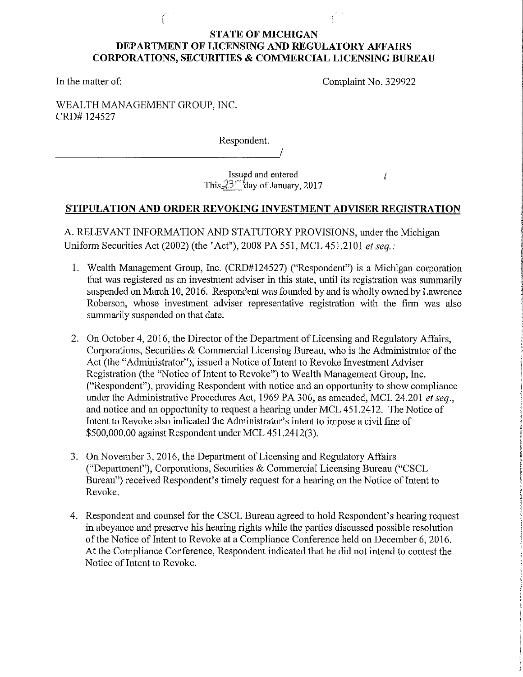## **STATE OF MICHIGAN DEPARTMENT OF LICENSING AND REGULATORY AFFAIRS CORPORATIONS, SECURITIES & COMMERCIAL LICENSING BUREAU**

In the matter of:

Complaint No. 329922

 $\sqrt{ }$ 

WEALTH MANAGEMENT GROUP, INC. CRD# 124527

----------------------------~/

Respondent.

Issued and entered This  $23<sup>rd</sup>$ day of January, 2017

# **STIPULATION AND ORDER REVOKING INVESTMENT ADVISER REGISTRATION**

A. RELEVANT INFORMATION AND STATUTORY PROVISIONS, under the Michigan Uniform Securities Act (2002) (the "Act"), 2008 PA 551, MCL 451.2101 *et seq.:* 

- 1. Wealth Management Group, Inc. (CRD#124527) ("Respondent") is a Michigan corporation that was registered as an investment adviser in this state, until its registration was summarily suspended on March 10, 2016. Respondent was founded by and is wholly owned by Lawrence Roberson, whose investment adviser representative registration with the firm was also summarily suspended on that date.
- 2. On October 4, 2016, the Director of the Department of Licensing and Regulatory Affairs, Corporations, Securities & Commercial Licensing Bureau, who is the Administrator of the Act (the "Administrator"), issued a Notice of Intent to Revoke Investment Adviser Registration (the "Notice of Intent to Revoke") to Wealth Management Group, Inc. ("Respondent"), providing Respondent with notice and an opportunity to show compliance under the Administrative Procedures Act, 1969 PA 306, as amended, MCL 24.201 *et seq.,*  and notice and an opportunity to request a hearing under MCL 451.2412. The Notice of Intent to Revoke also indicated the Administrator's intent to impose a civil fine of \$500,000.00 against Respondent under MCL 451.2412(3).
- 3. On November 3, 2016, the Department of Licensing and Regulatory Affairs ("Department"), Corporations, Securities  $&$  Commercial Licensing Bureau ("CSCL Bureau") received Respondent's timely request for a hearing on the Notice of Intent to Revoke.
- 4. Respondent and counsel for the CSCL Bureau agreed to hold Respondent's hearing request in abeyance and preserve his hearing rights while the parties discussed possible resolution of the Notice of Intent to Revoke at a Compliance Conference held on December 6, 2016. At the Compliance Conference, Respondent indicated that he did not intend to contest the Notice of Intent to Revoke.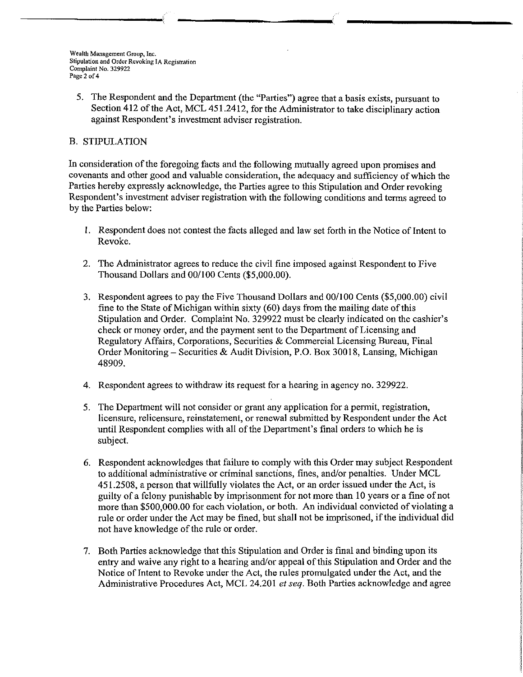5. The Respondent and the Department (the "Parties") agree that a basis exists, pursuant to Section 412 of the Act, MCL 451.2412, for the Administrator to take disciplinary action against Respondent's investment adviser registration.

#### B. STIPULATION

In consideration of the foregoing facts and the following mutually agreed upon promises and covenants and other good and valuable consideration, the adequacy and sufficiency of which the Parties hereby expressly acknowledge, the Parties agree to this Stipulation and Order revoking Respondent's investment adviser registration with the following conditions and terms agreed to by the Parties below:

- l. Respondent does not contest the facts alleged and law set forth in the Notice of Intent to Revoke.
- 2. The Administrator agrees to reduce the civil fine imposed against Respondent to Five Thousand Dollars and 00/100 Cents (\$5,000.00).
- 3. Respondent agrees to pay the Five Thousand Dollars and 00/100 Cents (\$5,000.00) civil fine to the State of Michigan within sixty ( 60) days from the mailing date of this Stipulation and Order. Complaint No. 329922 must be clearly indicated on the cashier's check or money order, and the payment sent to the Department of Licensing and Regulatory Affairs, Corporations, Securities & Commercial Licensing Bureau, Final Order Monitoring- Securities & Audit Division, P.O. Box 30018, Lansing, Michigan 48909.
- 4. Respondent agrees to withdraw its request for a hearing in agency no. 329922.
- 5. The Department will not consider or grant any application for a permit, registration, licensure, relicensure, reinstatement, or renewal submitted by Respondent under the Act until Respondent complies with all of the Department's final orders to which he is subject.
- 6. Respondent acknowledges that failure to comply with this Order may subject Respondent to additional administrative or criminal sanctions, fines, and/or penalties. Under MCL 451.2508, a person that willfully violates the Act, or an order issued under the Act, is guilty of a felony punishable by imprisonment for not more than 10 years or a fine of not more than \$500,000.00 for each violation, or both. An individual convicted of violating a rule or order under the Act may be fined, but shall not be imprisoned, if the individual did not have knowledge of the rule or order.
- 7. Both Parties acknowledge that this Stipulation and Order is final and binding upon its entry and waive any right to a hearing and/or appeal of this Stipulation and Order and the Notice of Intent to Revoke under the Act, the rules promulgated under the Act, and the Administrative Procedures Act, MCL 24.201 *et seq.* Both Parties acknowledge and agree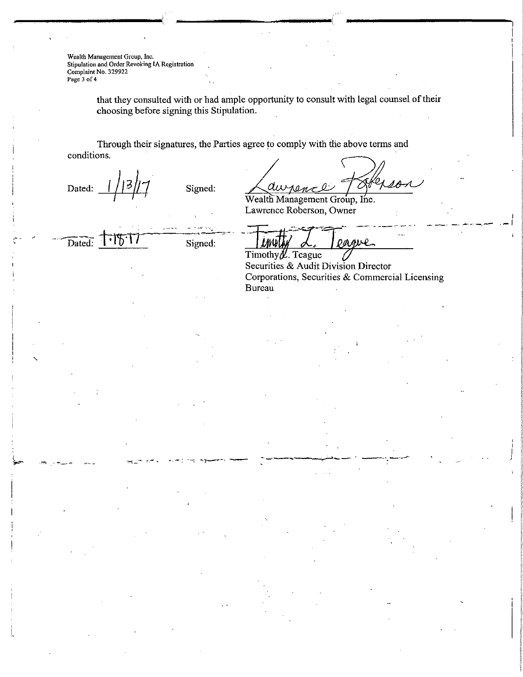**Wealth Management Group, lnc, Stipulation and Order Revoking lA Registration Complaint No. 329922 Page 3 of4** 

> that they consulted with or had ample opportunity to consult with legal counsel of their choosing before signing this Stipulation.

Through their signatures, the Parties agree to comply with the above terms and conditions.

Dated:  $\frac{1}{3}$   $\frac{3}{7}$   $\frac{3}{7}$   $\frac{3}{5}$   $\frac{3}{7}$  $\frac{1}{2}$ 

-,...::~·- *:c::-.* •. -;

Laurence Fat ~ me.

Wealth Management Group, Lawrence Roberson, Owner

Dated.

Signed:

.... ~----

O M

Timothy $\not\!\!\!L$ . Teague Securities & Audit Division Director Corporations, Securities & Commercial Licensing Bureau

I .-1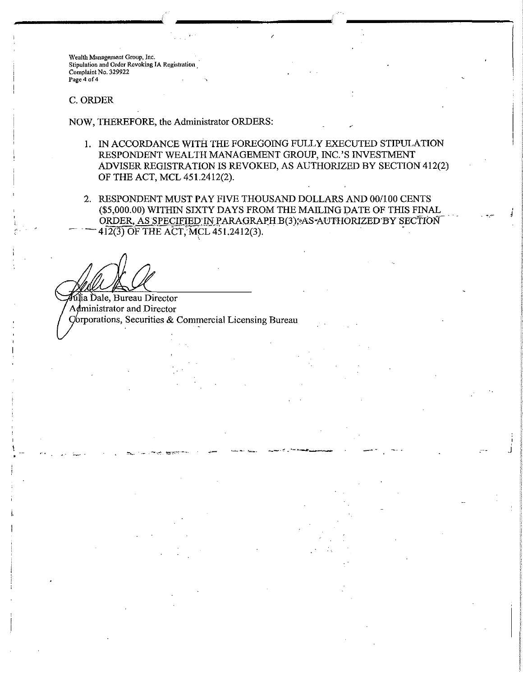**Wealth Management Group, Inc. Stipulation and Order Revoking IA Registration Complaint No. 329922 Page 4 of4** 

#### C. ORDER

 $\lambda$ ,  $\lambda$ '·

NOW, THEREFORE, the Administrator ORDERS:

- !. IN ACCORDANCE WITH THE FOREGOING FULLY EXECUTED STIPULATION RESPONDENT WEALTH MANAGEMENT GROUP, INC.'S INVESTMENT ADVISER REGISTRATION IS REVOKED, AS AUTHORIZED BY SECTION 412(2) OF THE ACT, MCL 451.2412(2).
- 2. RESPONDENT MUST PAY FIVE THOUSAND DOLLARS AND 00/100 CENTS (\$5,000.00) WITHIN SIXTY DAYS FROM THE MAILING DATE OF THIS FINAL ORDER, AS SPECIFIED IN PARAGRAPH B(3); AS AUTHORIZED BY SECTION 412(3) OF THE ACT, MCL 451.2412(3).

and the second control of the second control of the second control of the second control of the second control <br>The second control of the second control of the second control of the second control of the second control of

*i* 

.J

lia Dale, Bureau Director Administrator and Director  $C$ orporations, Securities & Commercial Licensing Bureau

'·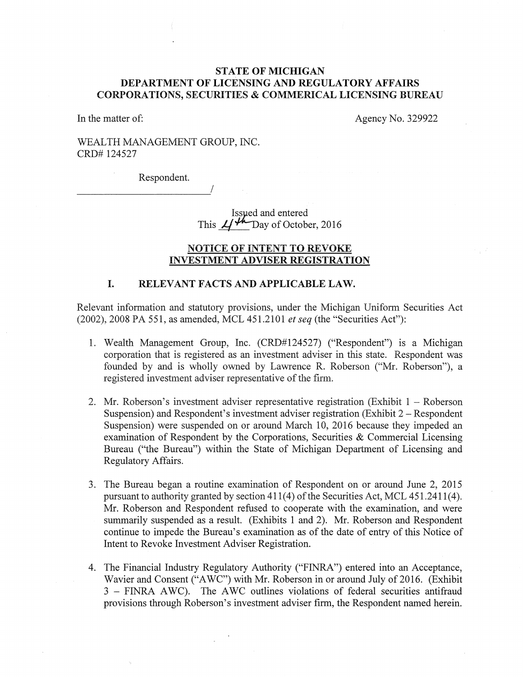#### STATE OF MICHIGAN DEPARTMENT OF LICENSING AND REGULATORY AFFAIRS CORPORATIONS, SECURITIES & COMMERICAL LICENSING BUREAU

In the matter of: Agency No. 329922

## WEALTH MANAGEMENT GROUP, INC. CRD# 124527

Respondent. *\_\_\_\_\_\_\_\_\_\_\_ !* 

Issued and entered This  $\mathcal{L}/\mathcal{H}$  Day of October, 2016

#### NOTICE OF INTENT TO REVOKE INVESTMENT ADVISER REGISTRATION

#### I. RELEVANT FACTS AND APPLICABLE LAW.

Relevant information and statutory provisions, under the Michigan Uniform Securities Act (2002), 2008 PA 551, as amended, MCL 451.2101 *et seq* (the "Securities Act"):

- 1. Wealth Management Group, Inc. (CRD#124527) ("Respondent") is a Michigan corporation that is registered as an investment adviser in this state. Respondent was founded by and is wholly owned by Lawrence R. Roberson ("Mr. Roberson"), a registered investment adviser representative of the firm.
- 2. Mr. Roberson's investment adviser representative registration (Exhibit  $1 -$ Roberson Suspension) and Respondent's investment adviser registration (Exhibit  $2 -$ Respondent Suspension) were suspended on or around March 10, 2016 because they impeded an examination of Respondent by the Corporations, Securities & Commercial Licensing Bureau ("the Bureau") within the State of Michigan Department of Licensing and Regulatory Affairs.
- 3. The Bureau began a routine examination of Respondent on or around June 2, 2015 pursuant to authority granted by section 411(4) of the Securities Act, MCL 451.2411(4). Mr. Roberson and Respondent refused to cooperate with the examination, and were summarily suspended as a result. (Exhibits 1 and 2). Mr. Roberson and Respondent continue to impede the Bureau's examination as of the date of entry of this Notice of Intent to Revoke Investment Adviser Registration.
- 4. The Financial Industry Regulatory Authority ("FINRA") entered into an Acceptance, Wavier and Consent ("AWC") with Mr. Roberson in or around July of 2016. (Exhibit 3 - FINRA A WC). The A WC outlines violations of federal securities antifraud provisions through Roberson's investment adviser firm, the Respondent named herein.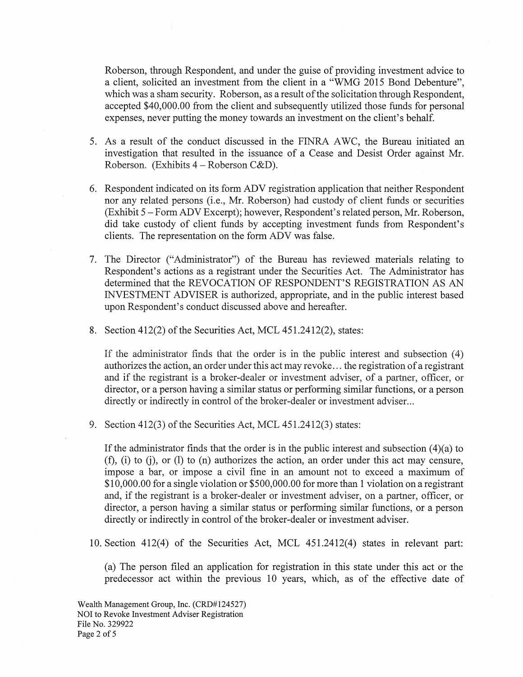Roberson, through Respondent, and under the guise of providing investment advice to a client, solicited an investment from the client in a "WMG 2015 Bond Debenture", which was a sham security. Roberson, as a result of the solicitation through Respondent, accepted \$40,000.00 from the client and subsequently utilized those funds for personal expenses, never putting the money towards an investment on the client's behalf.

- 5. As a result of the conduct discussed in the FINRA AWC, the Bureau initiated an investigation that resulted in the issuance of a Cease and Desist Order against Mr. Roberson. (Exhibits  $4 - \text{Roberson C&D}$ ).
- 6. Respondent indicated on its form ADV registration application that neither Respondent nor any related persons (i.e., Mr. Roberson) had custody of client funds or securities (Exhibit 5 -Form ADV Excerpt); however, Respondent's related person, Mr. Roberson, did take custody of client funds by accepting investment funds from Respondent's clients. The representation on the form ADV was false.
- 7. The Director ("Administrator") of the Bureau has reviewed materials relating to Respondent's actions as a registrant under the Securities Act. The Administrator has determined that the REVOCATION OF RESPONDENT'S REGISTRATION AS AN INVESTMENT ADVISER is authorized, appropriate, and in the public interest based upon Respondent's conduct discussed above and hereafter.
- 8. Section 412(2) of the Securities Act, MCL 451.2412(2), states:

If the administrator finds that the order is in the public interest and subsection  $(4)$ authorizes the action, an order under this act may revoke ... the registration of a registrant and if the registrant is a broker-dealer or investment adviser, of a partner, officer, or director, or a person having a similar status or performing similar functions, or a person directly or indirectly in control of the broker-dealer or investment adviser...

9. Section 412(3) of the Securities Act, MCL 451.2412(3) states:

If the administrator fmds that the order is in the public interest and subsection (4)(a) to  $(f)$ , (i) to (i), or (1) to (n) authorizes the action, an order under this act may censure, impose a bar, or impose a civil fine in an amount not to exceed a maximum of \$10,000.00 for a single violation or \$500,000.00 for more than 1 violation on a registrant and, if the registrant is a broker-dealer or investment adviser, on a partner, officer, or director, a person having a similar status or performing similar functions, or a person directly or indirectly in control of the broker-dealer or investment adviser.

10. Section 412(4) of the Securities Act, MCL 451.2412(4) states in relevant part:

(a) The person filed an application for registration in this state under this act or the predecessor act within the previous 10 years, which, as of the effective date of

Wealth Management Group, Inc. (CRD#124527) NOI to Revoke Investment Adviser Registration File No. 329922 Page 2 of 5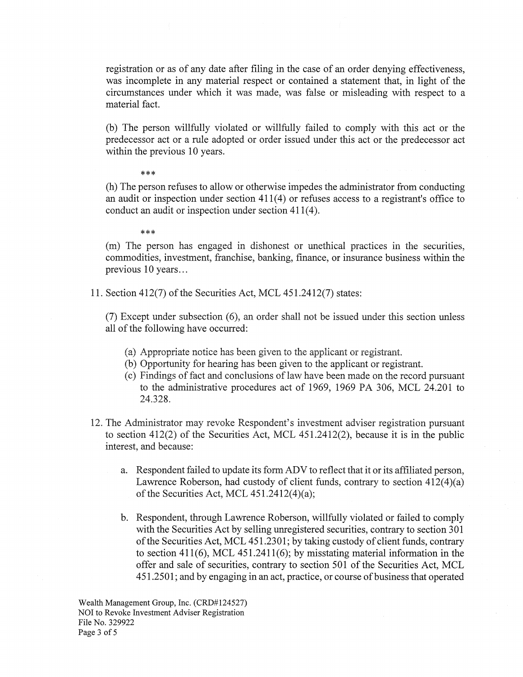registration or as of any date after filing in the case of an order denying effectiveness, was incomplete in any material respect or contained a statement that, in light of the circumstances under which it was made, was false or misleading with respect to a material fact.

(b) The person willfully violated or willfully failed to comply with this act or the predecessor act or a rule adopted or order issued under this act or the predecessor act within the previous 10 years.

#### \*\*\*

(h) The person refuses to allow or otherwise impedes the administrator from conducting an audit or inspection under section 411(4) or refuses access to a registrant's office to conduct an audit or inspection under section 411(4).

#### \*\*\*

(m) The person has engaged in dishonest or unethical practices in the securities, commodities, investment, franchise, banking, fmance, or insurance business within the previous 10 years...

11. Section 412(7) of the Securities Act, MCL 451.2412(7) states:

 $(7)$  Except under subsection  $(6)$ , an order shall not be issued under this section unless all of the following have occurred:

- (a) Appropriate notice has been given to the applicant or registrant.
- (b) Opportunity for hearing has been given to the applicant or registrant.
- (c) Findings of fact and conclusions of law have been made on the record pursuant to the administrative procedures act of 1969, 1969 PA 306, MCL 24.201 to 24.328.
- 12. The Administrator may revoke Respondent's investment adviser registration pursuant to section 412(2) of the Securities Act, MCL 451.2412(2), because it is in the public interest, and because:
	- a. Respondent failed to update its form ADV to reflect that it or its affiliated person, Lawrence Roberson, had custody of client funds, contrary to section 412(4)(a) of the Securities Act, MCL  $451.2412(4)(a)$ ;
	- b. Respondent, through Lawrence Roberson, willfully violated or failed to comply with the Securities Act by selling unregistered securities, contrary to section 301 of the Securities Act, MCL 451.2301; by taking custody of client funds, contrary to section 411(6), MCL 451.2411(6); by misstating material information in the offer and sale of securities, contrary to section 501 of the Securities Act, MCL 451.2501; and by engaging in an act, practice, or course of business that operated

Wealth Management Group, Inc. (CRD#124527) NOI to Revoke Investment Adviser Registration File No. 329922 Page 3 of 5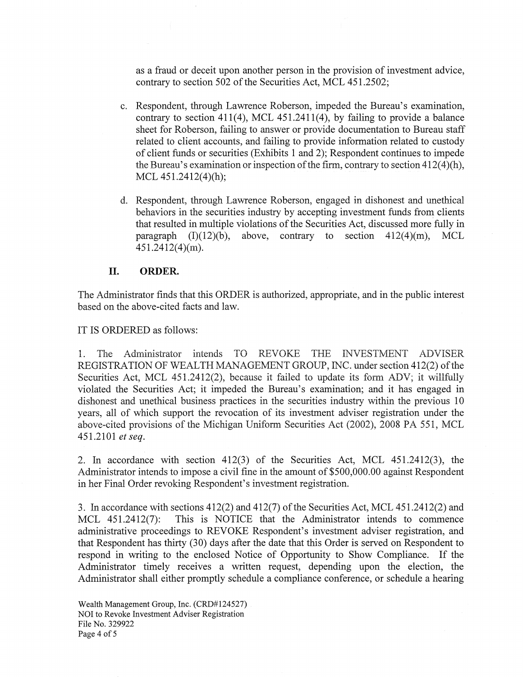as a fraud or deceit upon another person in the provision of investment advice, contrary to section 502 of the Securities Act, MCL 451.2502;

- c. Respondent, through Lawrence Roberson, impeded the Bureau's examination, contrary to section 411(4), MCL 451.2411(4), by failing to provide a balance sheet for Roberson, failing to answer or provide documentation to Bureau staff related to client accounts, and failing to provide information related to custody of client funds or securities (Exhibits 1 and 2); Respondent continues to impede the Bureau's examination or inspection of the firm, contrary to section  $412(4)(h)$ , MCL  $451.2412(4)$ (h);
- d. Respondent, through Lawrence Roberson, engaged in dishonest and unethical behaviors in the securities industry by accepting investment funds from clients that resulted in multiple violations of the Securities Act, discussed more fully in paragraph  $(I)(12)(b)$ , above, contrary to section  $412(4)(m)$ , MCL 451.2412(4)(m).

#### II. **ORDER.**

The Administrator finds that this ORDER is authorized, appropriate, and in the public interest based on the above-cited facts and law.

IT IS ORDERED as follows:

1. The Administrator intends TO REVOKE THE INVESTMENT ADVISER REGISTRATION OF WEALTH MANAGEMENT GROUP, INC. under section 412(2) of the Securities Act, MCL 451.2412(2), because it failed to update its form ADV; it willfully violated the Securities Act; it impeded the Bureau's examination; and it has engaged in dishonest and unethical business practices in the securities industry within the previous 10 years, all of which support the revocation of its investment adviser registration under the above-cited provisions of the Michigan Uniform Securities Act (2002), 2008 PA 551, MCL 451.2101 *et seq.* 

2. In accordance with section 412(3) of the Securities Act, MCL 451.2412(3), the Administrator intends to impose a civil fine in the amount of \$500,000.00 against Respondent in her Final Order revoking Respondent's investment registration.

3. In accordance with sections 412(2) and 412(7) of the Securities Act, MCL 451.2412(2) and MCL 451.2412(7): This is NOTICE that the Administrator intends to commence administrative proceedings to REVOKE Respondent's investment adviser registration, and that Respondent has thirty  $(30)$  days after the date that this Order is served on Respondent to respond in writing to the enclosed Notice of Opportunity to Show Compliance. If the Administrator timely receives a written request, depending upon the election, the Administrator shall either promptly schedule a compliance conference, or schedule a hearing

Wealth Management Group, Inc. (CRD#124527) NOI to Revoke Investment Adviser Registration File No. 329922 Page 4 of 5